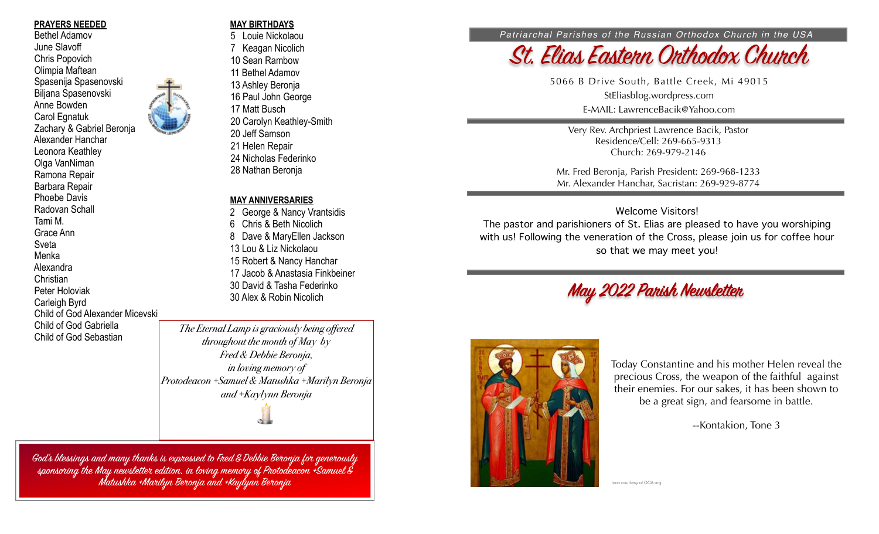### **PRAYERS NEEDED**

 Bethel Adamov June Slavoff Chris Popovich Olimpia Maftean Spasenija Spasenovski Biljana Spasenovski Anne Bowden Carol Egnatuk Zachary & Gabriel Beronja Alexander Hanchar Leonora Keathley Olga VanNiman Ramona Repair Barbara Repair Phoebe Davis Radovan Schall Tami M. Grace Ann Sveta Menka Alexandra Christian Peter Holoviak Carleigh Byrd Child of God Alexander Micevski Child of God Gabriella Child of God Sebastian

## **MAY BIRTHDAYS**

5 Louie Nickolaou 7 Keagan Nicolich 10 Sean Rambow 11 Bethel Adamov 13 Ashley Beronja 16 Paul John George 17 Matt Busch 20 Carolyn Keathley-Smith 20 Jeff Samson 21 Helen Repair 24 Nicholas Federinko 28 Nathan Beronja

## **MAY ANNIVERSARIES**

2 George & Nancy Vrantsidis 6 Chris & Beth Nicolich 8 Dave & MaryEllen Jackson 13 Lou & Liz Nickolaou 15 Robert & Nancy Hanchar 17 Jacob & Anastasia Finkbeiner 30 David & Tasha Federinko 30 Alex & Robin Nicolich

*The Eternal Lamp is graciously being offered throughout the month of May by Fred & Debbie Beronja, in loving memory of Protodeacon +Samuel & Matushka +Marilyn Beronja and +Kaylynn Beronja*

 $\circ$ 

God's blessings and many thanks is expressed to Fred & Debbie Beronja for generously sponsoring the May newsletter edition, in loving memory of Protodeacon + Samuel & Matushka +Marilyn Beronja and +Kaylynn Beronja

#### *Patriarchal Parishes of the Russian Orthodox Church in the USA*



5066 B Drive South, Battle Creek, Mi 49015 StEliasblog.wordpress.com E-MAIL: LawrenceBacik@Yahoo.com

Very Rev. Archpriest Lawrence Bacik, Pastor Residence/Cell: 269-665-9313 Church: 269-979-2146

Mr. Fred Beronja, Parish President: 269-968-1233 Mr. Alexander Hanchar, Sacristan: 269-929-8774

### Welcome Visitors!

The pastor and parishioners of St. Elias are pleased to have you worshiping with us! Following the veneration of the Cross, please join us for coffee hour so that we may meet you!





Today Constantine and his mother Helen reveal the precious Cross, the weapon of the faithful against their enemies. For our sakes, it has been shown to be a great sign, and fearsome in battle.

--Kontakion, Tone 3

Icon courtesy of OCA.org